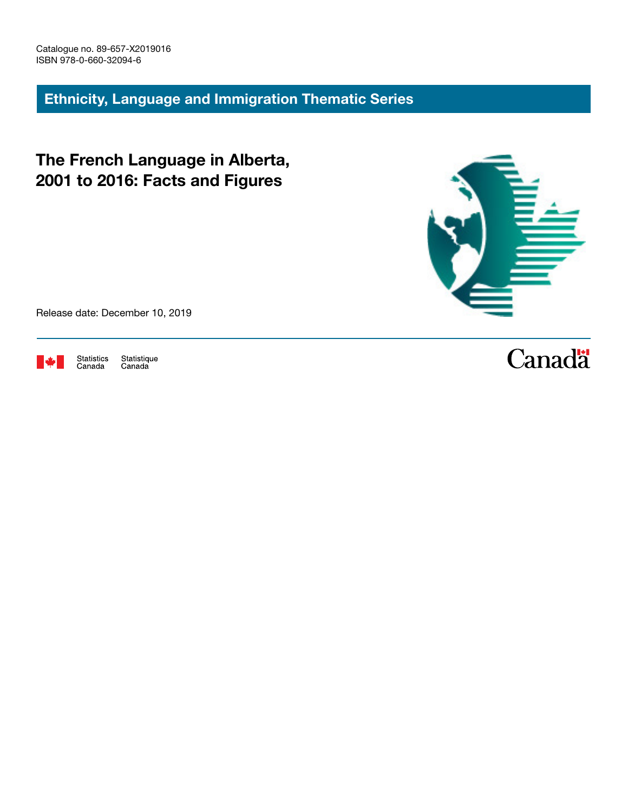Ethnicity, Language and Immigration Thematic Series

The French Language in Alberta, 2001 to 2016: Facts and Figures



Release date: December 10, 2019



Statistics<br>Canada Statistique<br>Canada

# **Canadä**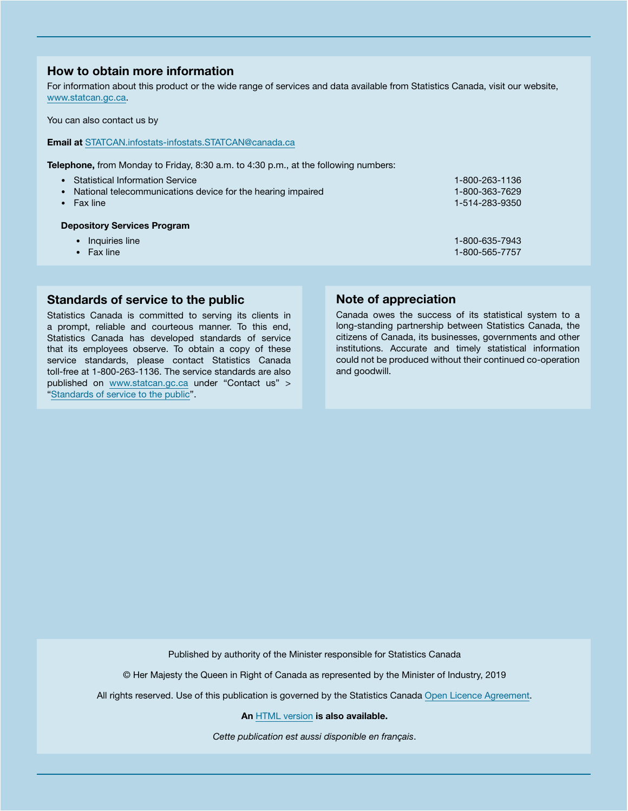## How to obtain more information

For information about this product or the wide range of services and data available from Statistics Canada, visit our website, [www.statcan.gc.ca.](https://www.statcan.gc.ca)

You can also contact us by

Email at [STATCAN.infostats-infostats.STATCAN@canada.ca](mailto:STATCAN.infostats-infostats.STATCAN%40canada.ca?subject=)

Telephone, from Monday to Friday, 8:30 a.m. to 4:30 p.m., at the following numbers:

- Statistical Information Service 1-800-263-1136 • National telecommunications device for the hearing impaired 1-800-363-7629 • Fax line 1-514-283-9350 Depository Services Program • Inquiries line 1-800-635-7943 • Fax line 1-800-565-7757
- Standards of service to the public

Statistics Canada is committed to serving its clients in a prompt, reliable and courteous manner. To this end, Statistics Canada has developed standards of service that its employees observe. To obtain a copy of these service standards, please contact Statistics Canada toll-free at 1-800-263-1136. The service standards are also published on [www.statcan.gc.ca](https://www.statcan.gc.ca) under "Contact us" > "[Standards of service to the public](https://www.statcan.gc.ca/eng/about/service/standards)".

# Note of appreciation

Canada owes the success of its statistical system to a long-standing partnership between Statistics Canada, the citizens of Canada, its businesses, governments and other institutions. Accurate and timely statistical information could not be produced without their continued co-operation and goodwill.

Published by authority of the Minister responsible for Statistics Canada

© Her Majesty the Queen in Right of Canada as represented by the Minister of Industry, 2019

All rights reserved. Use of this publication is governed by the Statistics Canada [Open Licence Agreement.](https://www.statcan.gc.ca/eng/reference/licence)

An [HTML version](https://www150.statcan.gc.ca/n1/pub/89-657-x/89-657-x2019016-eng.htm) is also available.

*Cette publication est aussi disponible en français*.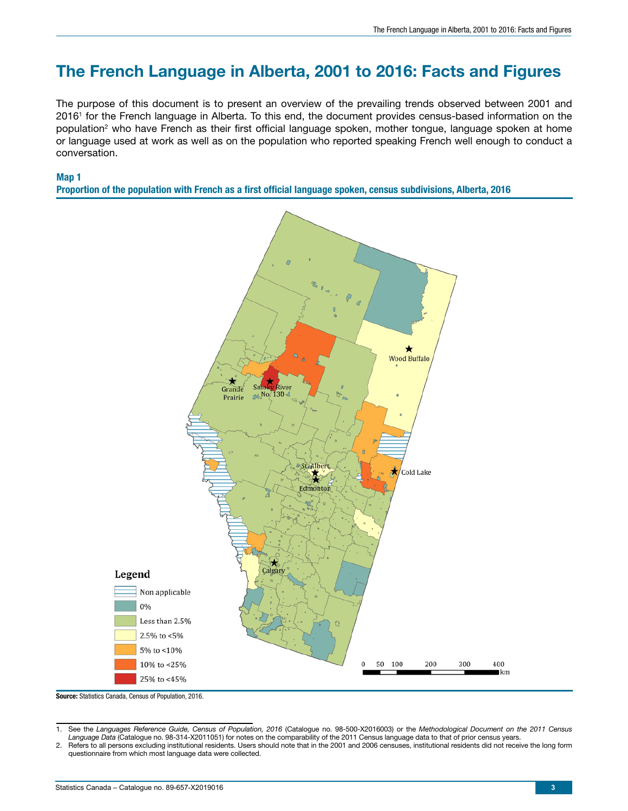# The French Language in Alberta, 2001 to 2016: Facts and Figures

The purpose of this document is to present an overview of the prevailing trends observed between 2001 and 20161 for the French language in Alberta. To this end, the document provides census-based information on the population<sup>2</sup> who have French as their first official language spoken, mother tongue, language spoken at home or language used at work as well as on the population who reported speaking French well enough to conduct a conversation.



Proportion of the population with French as a first official language spoken, census subdivisions, Alberta, 2016



Source: Statistics Canada, Census of Population, 2016.

<sup>1.</sup> See the *Languages Reference Guide, Census of Population, 2016* (Catalogue no. 98-500-X2016003) or the *Methodological Document on the 2011 Census Language Data* (Catalogue no. 98-314-X2011051) for notes on the comparability of the 2011 Census language data to that of prior census years.

<sup>2.</sup> Refers to all persons excluding institutional residents. Users should note that in the 2001 and 2006 censuses, institutional residents did not receive the long form questionnaire from which most language data were collected.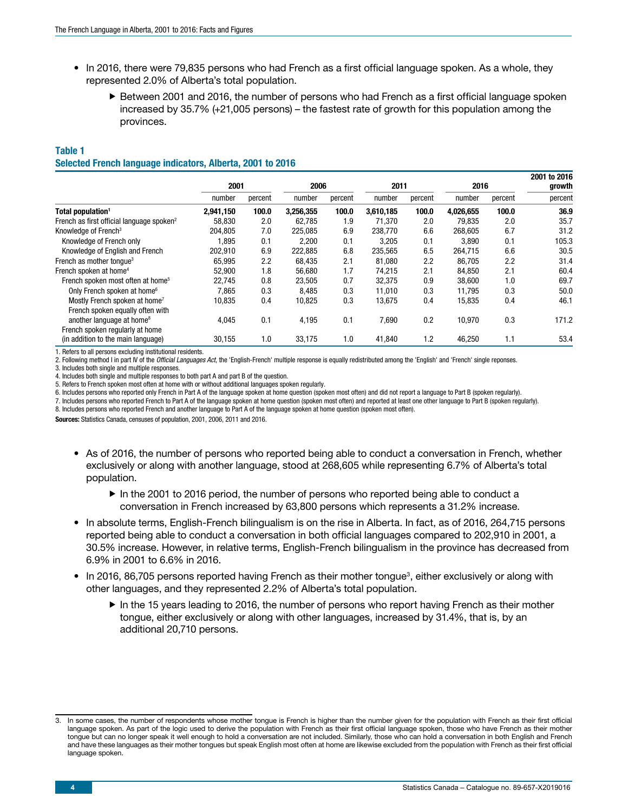- In 2016, there were 79,835 persons who had French as a first official language spoken. As a whole, they represented 2.0% of Alberta's total population.
	- $\blacktriangleright$  Between 2001 and 2016, the number of persons who had French as a first official language spoken increased by 35.7% (+21,005 persons) – the fastest rate of growth for this population among the provinces.

## Table 1

#### Selected French language indicators, Alberta, 2001 to 2016

|                                                       | 2001      |         | 2006      |         | 2011      |         | 2016      |         | 2001 to 2016<br>growth |
|-------------------------------------------------------|-----------|---------|-----------|---------|-----------|---------|-----------|---------|------------------------|
|                                                       | number    | percent | number    | percent | number    | percent | number    | percent | percent                |
| Total population <sup>1</sup>                         | 2,941,150 | 100.0   | 3,256,355 | 100.0   | 3,610,185 | 100.0   | 4,026,655 | 100.0   | 36.9                   |
| French as first official language spoken <sup>2</sup> | 58.830    | 2.0     | 62.785    | 1.9     | 71.370    | 2.0     | 79.835    | 2.0     | 35.7                   |
| Knowledge of French <sup>3</sup>                      | 204,805   | 7.0     | 225,085   | 6.9     | 238,770   | 6.6     | 268,605   | 6.7     | 31.2                   |
| Knowledge of French only                              | 1,895     | 0.1     | 2,200     | 0.1     | 3,205     | 0.1     | 3,890     | 0.1     | 105.3                  |
| Knowledge of English and French                       | 202,910   | 6.9     | 222,885   | 6.8     | 235,565   | 6.5     | 264,715   | 6.6     | 30.5                   |
| French as mother tonque <sup>3</sup>                  | 65,995    | 2.2     | 68,435    | 2.1     | 81,080    | 2.2     | 86,705    | 2.2     | 31.4                   |
| French spoken at home <sup>4</sup>                    | 52,900    | 1.8     | 56,680    | 1.7     | 74,215    | 2.1     | 84,850    | 2.1     | 60.4                   |
| French spoken most often at home <sup>5</sup>         | 22.745    | 0.8     | 23,505    | 0.7     | 32.375    | 0.9     | 38,600    | 1.0     | 69.7                   |
| Only French spoken at home <sup>6</sup>               | 7,865     | 0.3     | 8.485     | 0.3     | 11.010    | 0.3     | 11,795    | 0.3     | 50.0                   |
| Mostly French spoken at home <sup>7</sup>             | 10,835    | 0.4     | 10,825    | 0.3     | 13,675    | 0.4     | 15,835    | 0.4     | 46.1                   |
| French spoken equally often with                      |           |         |           |         |           |         |           |         |                        |
| another language at home <sup>8</sup>                 | 4,045     | 0.1     | 4,195     | 0.1     | 7,690     | 0.2     | 10,970    | 0.3     | 171.2                  |
| French spoken regularly at home                       |           |         |           |         |           |         |           |         |                        |
| (in addition to the main language)                    | 30,155    | 1.0     | 33,175    | 1.0     | 41,840    | 1.2     | 46,250    | 1.1     | 53.4                   |
| .                                                     |           |         |           |         |           |         |           |         |                        |

1. Refers to all persons excluding institutional residents.

2. Following method I in part IV of the *Official Languages Act*, the 'English-French' multiple response is equally redistributed among the 'English' and 'French' single reponses.

3. Includes both single and multiple responses.

4. Includes both single and multiple responses to both part A and part B of the question.

5. Refers to French spoken most often at home with or without additional languages spoken regularly.

6. Includes persons who reported only French in Part A of the language spoken at home question (spoken most often) and did not report a language to Part B (spoken regularly).

7. Includes persons who reported French to Part A of the language spoken at home question (spoken most often) and reported at least one other language to Part B (spoken regularly).

8. Includes persons who reported French and another language to Part A of the language spoken at home question (spoken most often).

Sources: Statistics Canada, censuses of population, 2001, 2006, 2011 and 2016.

- As of 2016, the number of persons who reported being able to conduct a conversation in French, whether exclusively or along with another language, stood at 268,605 while representing 6.7% of Alberta's total population.
	- $\blacktriangleright$  In the 2001 to 2016 period, the number of persons who reported being able to conduct a conversation in French increased by 63,800 persons which represents a 31.2% increase.
- In absolute terms, English-French bilingualism is on the rise in Alberta. In fact, as of 2016, 264,715 persons reported being able to conduct a conversation in both official languages compared to 202,910 in 2001, a 30.5% increase. However, in relative terms, English-French bilingualism in the province has decreased from 6.9% in 2001 to 6.6% in 2016.
- In 2016, 86,705 persons reported having French as their mother tongue<sup>3</sup>, either exclusively or along with other languages, and they represented 2.2% of Alberta's total population.
	- $\blacktriangleright$  In the 15 years leading to 2016, the number of persons who report having French as their mother tongue, either exclusively or along with other languages, increased by 31.4%, that is, by an additional 20,710 persons.

<sup>3.</sup> In some cases, the number of respondents whose mother tongue is French is higher than the number given for the population with French as their first official language spoken. As part of the logic used to derive the population with French as their first official language spoken, those who have French as their mother tongue but can no longer speak it well enough to hold a conversation are not included. Similarly, those who can hold a conversation in both English and French and have these languages as their mother tongues but speak English most often at home are likewise excluded from the population with French as their first official language spoken.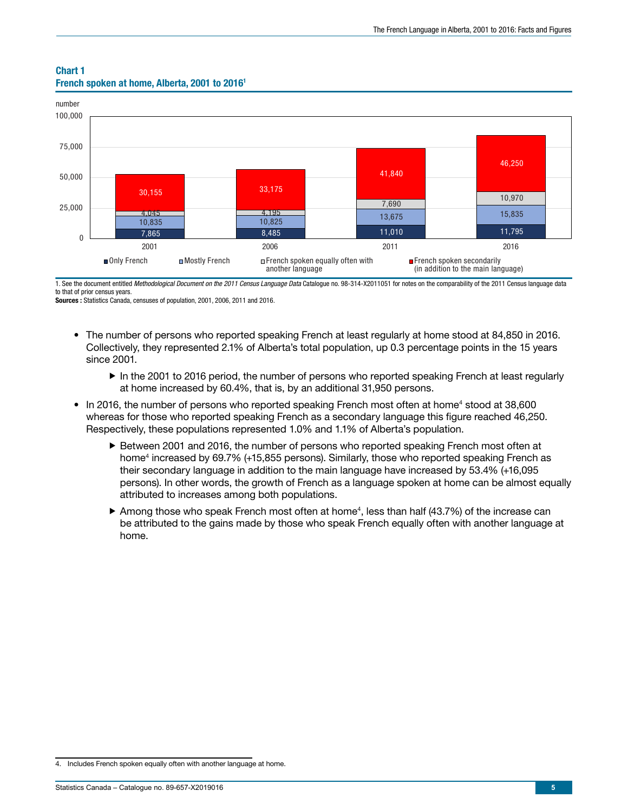#### Chart 1 French spoken at home, Alberta, 2001 to 20161



1. See the document entitled *Methodological Document on the 2011 Census Language Data* Catalogue no. 98-314-X2011051 for notes on the comparability of the 2011 Census language data to that of prior census years.

Sources : Statistics Canada, censuses of population, 2001, 2006, 2011 and 2016.

- The number of persons who reported speaking French at least regularly at home stood at 84,850 in 2016. Collectively, they represented 2.1% of Alberta's total population, up 0.3 percentage points in the 15 years since 2001.
	- $\blacktriangleright$  In the 2001 to 2016 period, the number of persons who reported speaking French at least regularly at home increased by 60.4%, that is, by an additional 31,950 persons.
- In 2016, the number of persons who reported speaking French most often at home<sup>4</sup> stood at 38,600 whereas for those who reported speaking French as a secondary language this figure reached 46,250. Respectively, these populations represented 1.0% and 1.1% of Alberta's population.
	- ► Between 2001 and 2016, the number of persons who reported speaking French most often at home<sup>4</sup> increased by 69.7% (+15,855 persons). Similarly, those who reported speaking French as their secondary language in addition to the main language have increased by 53.4% (+16,095 persons). In other words, the growth of French as a language spoken at home can be almost equally attributed to increases among both populations.
	- $\blacktriangleright$  Among those who speak French most often at home<sup>4</sup>, less than half (43.7%) of the increase can be attributed to the gains made by those who speak French equally often with another language at home.

<sup>4.</sup> Includes French spoken equally often with another language at home.